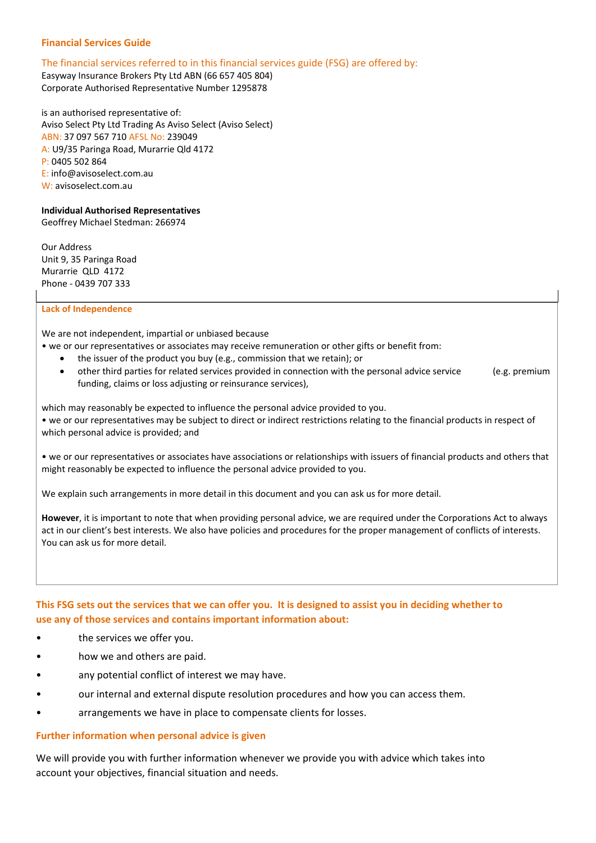# **Financial Services Guide**

## The financial services referred to in this financial services guide (FSG) are offered by:

Easyway Insurance Brokers Pty Ltd ABN (66 657 405 804) Corporate Authorised Representative Number 1295878

is an authorised representative of: Aviso Select Pty Ltd Trading As Aviso Select (Aviso Select) ABN: 37 097 567 710 AFSL No: 239049 A: U9/35 Paringa Road, Murarrie Qld 4172 P: 0405 502 864 E: info@avisoselect.com.au W: avisoselect.com.au

# **Individual Authorised Representatives**

Geoffrey Michael Stedman: 266974

Our Address Unit 9, 35 Paringa Road Murarrie QLD 4172 Phone - 0439 707 333

#### **Lack of Independence**

We are not independent, impartial or unbiased because

- we or our representatives or associates may receive remuneration or other gifts or benefit from:
	- the issuer of the product you buy (e.g., commission that we retain); or
	- other third parties for related services provided in connection with the personal advice service (e.g. premium funding, claims or loss adjusting or reinsurance services),

which may reasonably be expected to influence the personal advice provided to you. • we or our representatives may be subject to direct or indirect restrictions relating to the financial products in respect of which personal advice is provided; and

• we or our representatives or associates have associations or relationships with issuers of financial products and others that might reasonably be expected to influence the personal advice provided to you.

We explain such arrangements in more detail in this document and you can ask us for more detail.

**However**, it is important to note that when providing personal advice, we are required under the Corporations Act to always act in our client's best interests. We also have policies and procedures for the proper management of conflicts of interests. You can ask us for more detail.

# **This FSG sets out the services that we can offer you. It is designed to assist you in deciding whether to use any of those services and contains important information about:**

- the services we offer you.
- how we and others are paid.
- any potential conflict of interest we may have.
- our internal and external dispute resolution procedures and how you can access them.
- arrangements we have in place to compensate clients for losses.

#### **Further information when personal advice is given**

We will provide you with further information whenever we provide you with advice which takes into account your objectives, financial situation and needs.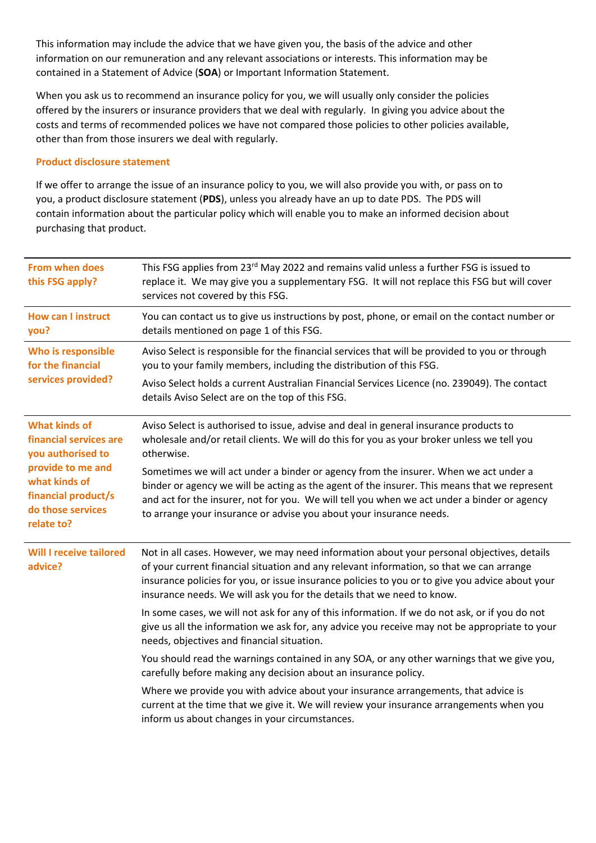This information may include the advice that we have given you, the basis of the advice and other information on our remuneration and any relevant associations or interests. This information may be contained in a Statement of Advice (**SOA**) or Important Information Statement.

When you ask us to recommend an insurance policy for you, we will usually only consider the policies offered by the insurers or insurance providers that we deal with regularly. In giving you advice about the costs and terms of recommended polices we have not compared those policies to other policies available, other than from those insurers we deal with regularly.

# **Product disclosure statement**

If we offer to arrange the issue of an insurance policy to you, we will also provide you with, or pass on to you, a product disclosure statement (**PDS**), unless you already have an up to date PDS. The PDS will contain information about the particular policy which will enable you to make an informed decision about purchasing that product.

| <b>From when does</b><br>this FSG apply?                                                                                                                            | This FSG applies from 23 <sup>rd</sup> May 2022 and remains valid unless a further FSG is issued to<br>replace it. We may give you a supplementary FSG. It will not replace this FSG but will cover<br>services not covered by this FSG.                                                                                                                            |
|---------------------------------------------------------------------------------------------------------------------------------------------------------------------|---------------------------------------------------------------------------------------------------------------------------------------------------------------------------------------------------------------------------------------------------------------------------------------------------------------------------------------------------------------------|
| <b>How can I instruct</b><br>you?                                                                                                                                   | You can contact us to give us instructions by post, phone, or email on the contact number or<br>details mentioned on page 1 of this FSG.                                                                                                                                                                                                                            |
| Who is responsible<br>for the financial<br>services provided?                                                                                                       | Aviso Select is responsible for the financial services that will be provided to you or through<br>you to your family members, including the distribution of this FSG.                                                                                                                                                                                               |
|                                                                                                                                                                     | Aviso Select holds a current Australian Financial Services Licence (no. 239049). The contact<br>details Aviso Select are on the top of this FSG.                                                                                                                                                                                                                    |
| <b>What kinds of</b><br>financial services are<br>you authorised to<br>provide to me and<br>what kinds of<br>financial product/s<br>do those services<br>relate to? | Aviso Select is authorised to issue, advise and deal in general insurance products to<br>wholesale and/or retail clients. We will do this for you as your broker unless we tell you<br>otherwise.                                                                                                                                                                   |
|                                                                                                                                                                     | Sometimes we will act under a binder or agency from the insurer. When we act under a<br>binder or agency we will be acting as the agent of the insurer. This means that we represent<br>and act for the insurer, not for you. We will tell you when we act under a binder or agency<br>to arrange your insurance or advise you about your insurance needs.          |
| <b>Will I receive tailored</b><br>advice?                                                                                                                           | Not in all cases. However, we may need information about your personal objectives, details<br>of your current financial situation and any relevant information, so that we can arrange<br>insurance policies for you, or issue insurance policies to you or to give you advice about your<br>insurance needs. We will ask you for the details that we need to know. |
|                                                                                                                                                                     | In some cases, we will not ask for any of this information. If we do not ask, or if you do not<br>give us all the information we ask for, any advice you receive may not be appropriate to your<br>needs, objectives and financial situation.                                                                                                                       |
|                                                                                                                                                                     | You should read the warnings contained in any SOA, or any other warnings that we give you,<br>carefully before making any decision about an insurance policy.                                                                                                                                                                                                       |
|                                                                                                                                                                     | Where we provide you with advice about your insurance arrangements, that advice is<br>current at the time that we give it. We will review your insurance arrangements when you<br>inform us about changes in your circumstances.                                                                                                                                    |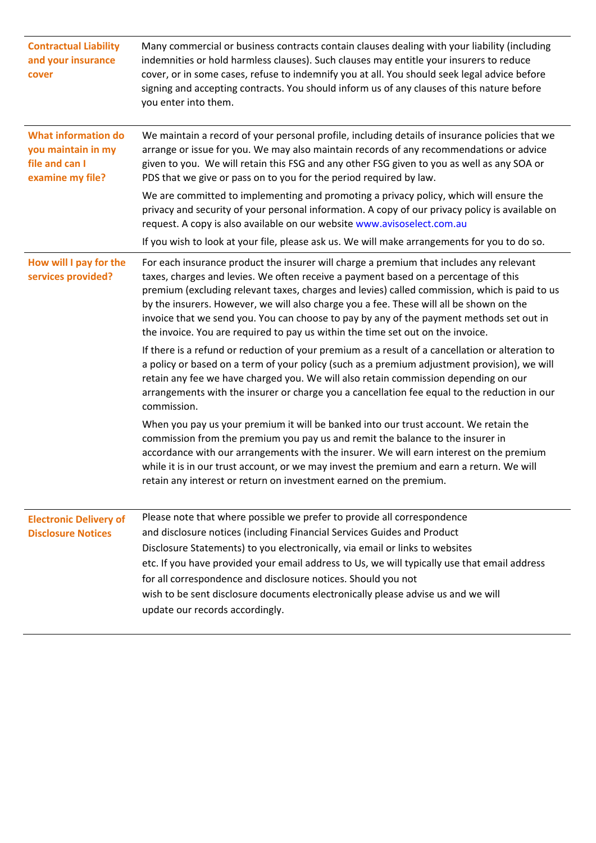| <b>Contractual Liability</b><br>and your insurance<br>cover                            | Many commercial or business contracts contain clauses dealing with your liability (including<br>indemnities or hold harmless clauses). Such clauses may entitle your insurers to reduce<br>cover, or in some cases, refuse to indemnify you at all. You should seek legal advice before<br>signing and accepting contracts. You should inform us of any clauses of this nature before<br>you enter into them.                                                                                                                                             |
|----------------------------------------------------------------------------------------|-----------------------------------------------------------------------------------------------------------------------------------------------------------------------------------------------------------------------------------------------------------------------------------------------------------------------------------------------------------------------------------------------------------------------------------------------------------------------------------------------------------------------------------------------------------|
| <b>What information do</b><br>you maintain in my<br>file and can I<br>examine my file? | We maintain a record of your personal profile, including details of insurance policies that we<br>arrange or issue for you. We may also maintain records of any recommendations or advice<br>given to you. We will retain this FSG and any other FSG given to you as well as any SOA or<br>PDS that we give or pass on to you for the period required by law.                                                                                                                                                                                             |
|                                                                                        | We are committed to implementing and promoting a privacy policy, which will ensure the<br>privacy and security of your personal information. A copy of our privacy policy is available on<br>request. A copy is also available on our website www.avisoselect.com.au                                                                                                                                                                                                                                                                                      |
|                                                                                        | If you wish to look at your file, please ask us. We will make arrangements for you to do so.                                                                                                                                                                                                                                                                                                                                                                                                                                                              |
| How will I pay for the<br>services provided?                                           | For each insurance product the insurer will charge a premium that includes any relevant<br>taxes, charges and levies. We often receive a payment based on a percentage of this<br>premium (excluding relevant taxes, charges and levies) called commission, which is paid to us<br>by the insurers. However, we will also charge you a fee. These will all be shown on the<br>invoice that we send you. You can choose to pay by any of the payment methods set out in<br>the invoice. You are required to pay us within the time set out on the invoice. |
|                                                                                        | If there is a refund or reduction of your premium as a result of a cancellation or alteration to<br>a policy or based on a term of your policy (such as a premium adjustment provision), we will<br>retain any fee we have charged you. We will also retain commission depending on our<br>arrangements with the insurer or charge you a cancellation fee equal to the reduction in our<br>commission.                                                                                                                                                    |
|                                                                                        | When you pay us your premium it will be banked into our trust account. We retain the<br>commission from the premium you pay us and remit the balance to the insurer in<br>accordance with our arrangements with the insurer. We will earn interest on the premium<br>while it is in our trust account, or we may invest the premium and earn a return. We will<br>retain any interest or return on investment earned on the premium.                                                                                                                      |
| <b>Electronic Delivery of</b><br><b>Disclosure Notices</b>                             | Please note that where possible we prefer to provide all correspondence<br>and disclosure notices (including Financial Services Guides and Product<br>Disclosure Statements) to you electronically, via email or links to websites<br>etc. If you have provided your email address to Us, we will typically use that email address<br>for all correspondence and disclosure notices. Should you not<br>wish to be sent disclosure documents electronically please advise us and we will<br>update our records accordingly.                                |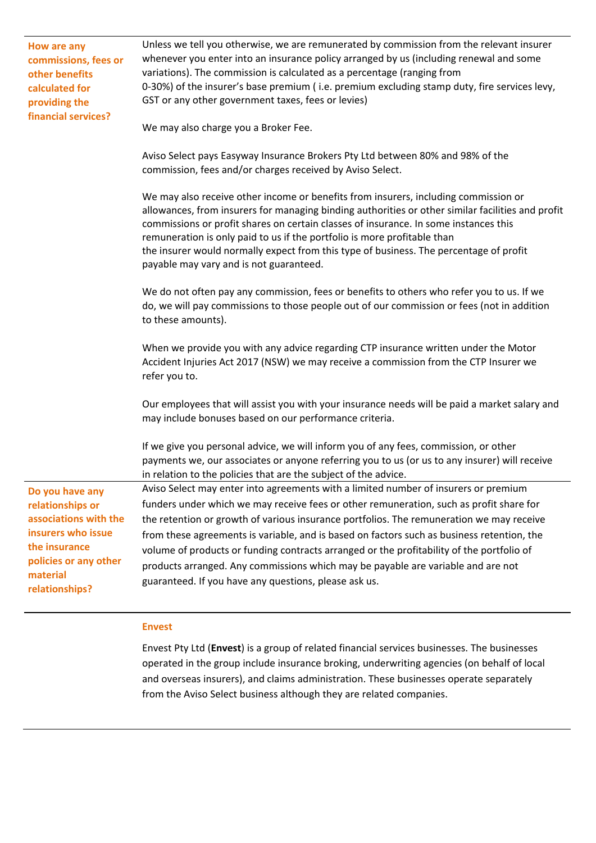| How are any<br>commissions, fees or<br>other benefits<br>calculated for<br>providing the<br>financial services?                                            | Unless we tell you otherwise, we are remunerated by commission from the relevant insurer<br>whenever you enter into an insurance policy arranged by us (including renewal and some<br>variations). The commission is calculated as a percentage (ranging from<br>0-30%) of the insurer's base premium (i.e. premium excluding stamp duty, fire services levy,<br>GST or any other government taxes, fees or levies)                                                                                                                                                                                                |
|------------------------------------------------------------------------------------------------------------------------------------------------------------|--------------------------------------------------------------------------------------------------------------------------------------------------------------------------------------------------------------------------------------------------------------------------------------------------------------------------------------------------------------------------------------------------------------------------------------------------------------------------------------------------------------------------------------------------------------------------------------------------------------------|
|                                                                                                                                                            | We may also charge you a Broker Fee.                                                                                                                                                                                                                                                                                                                                                                                                                                                                                                                                                                               |
|                                                                                                                                                            | Aviso Select pays Easyway Insurance Brokers Pty Ltd between 80% and 98% of the<br>commission, fees and/or charges received by Aviso Select.                                                                                                                                                                                                                                                                                                                                                                                                                                                                        |
|                                                                                                                                                            | We may also receive other income or benefits from insurers, including commission or<br>allowances, from insurers for managing binding authorities or other similar facilities and profit<br>commissions or profit shares on certain classes of insurance. In some instances this<br>remuneration is only paid to us if the portfolio is more profitable than<br>the insurer would normally expect from this type of business. The percentage of profit<br>payable may vary and is not guaranteed.                                                                                                                  |
|                                                                                                                                                            | We do not often pay any commission, fees or benefits to others who refer you to us. If we<br>do, we will pay commissions to those people out of our commission or fees (not in addition<br>to these amounts).                                                                                                                                                                                                                                                                                                                                                                                                      |
|                                                                                                                                                            | When we provide you with any advice regarding CTP insurance written under the Motor<br>Accident Injuries Act 2017 (NSW) we may receive a commission from the CTP Insurer we<br>refer you to.                                                                                                                                                                                                                                                                                                                                                                                                                       |
|                                                                                                                                                            | Our employees that will assist you with your insurance needs will be paid a market salary and<br>may include bonuses based on our performance criteria.                                                                                                                                                                                                                                                                                                                                                                                                                                                            |
|                                                                                                                                                            | If we give you personal advice, we will inform you of any fees, commission, or other<br>payments we, our associates or anyone referring you to us (or us to any insurer) will receive<br>in relation to the policies that are the subject of the advice.                                                                                                                                                                                                                                                                                                                                                           |
| Do you have any<br>relationships or<br>associations with the<br>insurers who issue<br>the insurance<br>policies or any other<br>material<br>relationships? | Aviso Select may enter into agreements with a limited number of insurers or premium<br>funders under which we may receive fees or other remuneration, such as profit share for<br>the retention or growth of various insurance portfolios. The remuneration we may receive<br>from these agreements is variable, and is based on factors such as business retention, the<br>volume of products or funding contracts arranged or the profitability of the portfolio of<br>products arranged. Any commissions which may be payable are variable and are not<br>guaranteed. If you have any questions, please ask us. |

# **Envest**

Envest Pty Ltd (**Envest**) is a group of related financial services businesses. The businesses operated in the group include insurance broking, underwriting agencies (on behalf of local and overseas insurers), and claims administration. These businesses operate separately from the Aviso Select business although they are related companies.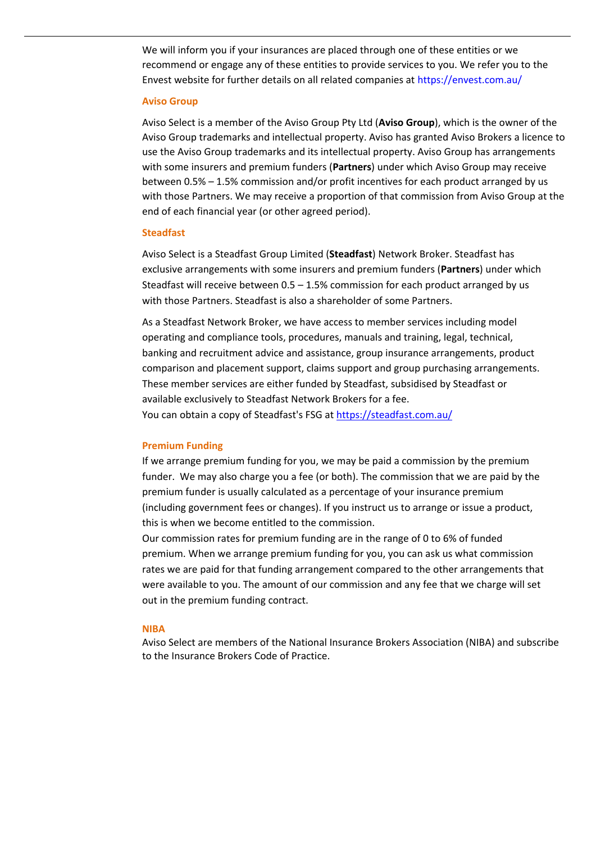We will inform you if your insurances are placed through one of these entities or we recommend or engage any of these entities to provide services to you. We refer you to the Envest website for further details on all related companies at<https://envest.com.au/>

#### **Aviso Group**

Aviso Select is a member of the Aviso Group Pty Ltd (**Aviso Group**), which is the owner of the Aviso Group trademarks and intellectual property. Aviso has granted Aviso Brokers a licence to use the Aviso Group trademarks and its intellectual property. Aviso Group has arrangements with some insurers and premium funders (**Partners**) under which Aviso Group may receive between 0.5% – 1.5% commission and/or profit incentives for each product arranged by us with those Partners. We may receive a proportion of that commission from Aviso Group at the end of each financial year (or other agreed period).

#### **Steadfast**

Aviso Select is a Steadfast Group Limited (**Steadfast**) Network Broker. Steadfast has exclusive arrangements with some insurers and premium funders (**Partners**) under which Steadfast will receive between  $0.5 - 1.5%$  commission for each product arranged by us with those Partners. Steadfast is also a shareholder of some Partners.

As a Steadfast Network Broker, we have access to member services including model operating and compliance tools, procedures, manuals and training, legal, technical, banking and recruitment advice and assistance, group insurance arrangements, product comparison and placement support, claims support and group purchasing arrangements. These member services are either funded by Steadfast, subsidised by Steadfast or available exclusively to Steadfast Network Brokers for a fee. You can obtain a copy of Steadfast's FSG at<https://steadfast.com.au/>

#### **Premium Funding**

If we arrange premium funding for you, we may be paid a commission by the premium funder. We may also charge you a fee (or both). The commission that we are paid by the premium funder is usually calculated as a percentage of your insurance premium (including government fees or changes). If you instruct us to arrange or issue a product, this is when we become entitled to the commission.

Our commission rates for premium funding are in the range of 0 to 6% of funded premium. When we arrange premium funding for you, you can ask us what commission rates we are paid for that funding arrangement compared to the other arrangements that were available to you. The amount of our commission and any fee that we charge will set out in the premium funding contract.

#### **NIBA**

Aviso Select are members of the National Insurance Brokers Association (NIBA) and subscribe to the Insurance Brokers Code of Practice.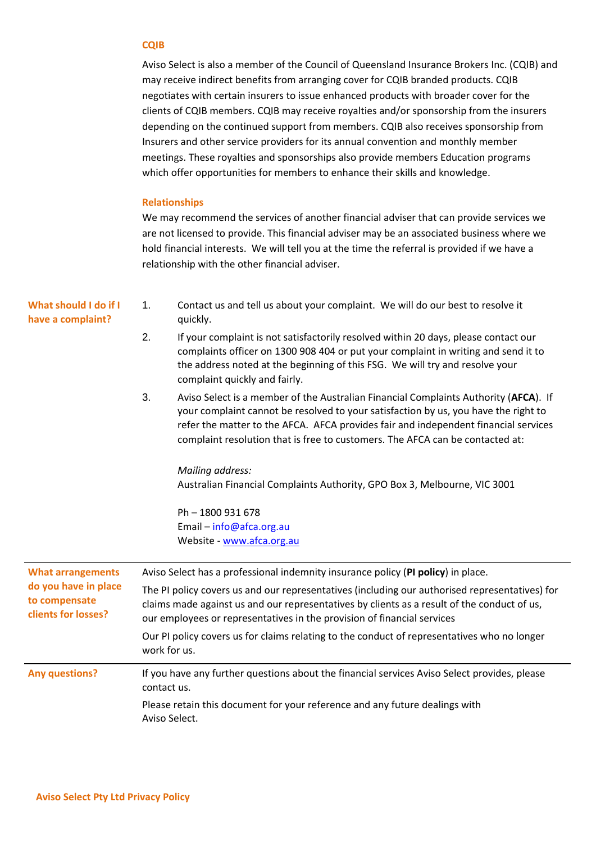## **CQIB**

Aviso Select is also a member of the Council of Queensland Insurance Brokers Inc. (CQIB) and may receive indirect benefits from arranging cover for CQIB branded products. CQIB negotiates with certain insurers to issue enhanced products with broader cover for the clients of CQIB members. CQIB may receive royalties and/or sponsorship from the insurers depending on the continued support from members. CQIB also receives sponsorship from Insurers and other service providers for its annual convention and monthly member meetings. These royalties and sponsorships also provide members Education programs which offer opportunities for members to enhance their skills and knowledge.

#### **Relationships**

We may recommend the services of another financial adviser that can provide services we are not licensed to provide. This financial adviser may be an associated business where we hold financial interests. We will tell you at the time the referral is provided if we have a relationship with the other financial adviser.

| What should I do if I<br>have a complaint?                                               | 1.<br>Contact us and tell us about your complaint. We will do our best to resolve it<br>quickly.                                                                                                                                                                                                                                                          |
|------------------------------------------------------------------------------------------|-----------------------------------------------------------------------------------------------------------------------------------------------------------------------------------------------------------------------------------------------------------------------------------------------------------------------------------------------------------|
|                                                                                          | 2.<br>If your complaint is not satisfactorily resolved within 20 days, please contact our<br>complaints officer on 1300 908 404 or put your complaint in writing and send it to<br>the address noted at the beginning of this FSG. We will try and resolve your<br>complaint quickly and fairly.                                                          |
|                                                                                          | 3.<br>Aviso Select is a member of the Australian Financial Complaints Authority (AFCA). If<br>your complaint cannot be resolved to your satisfaction by us, you have the right to<br>refer the matter to the AFCA. AFCA provides fair and independent financial services<br>complaint resolution that is free to customers. The AFCA can be contacted at: |
|                                                                                          | <b>Mailing address:</b>                                                                                                                                                                                                                                                                                                                                   |
|                                                                                          | Australian Financial Complaints Authority, GPO Box 3, Melbourne, VIC 3001                                                                                                                                                                                                                                                                                 |
|                                                                                          | Ph - 1800 931 678                                                                                                                                                                                                                                                                                                                                         |
|                                                                                          | Email - info@afca.org.au                                                                                                                                                                                                                                                                                                                                  |
|                                                                                          | Website - www.afca.org.au                                                                                                                                                                                                                                                                                                                                 |
| <b>What arrangements</b><br>do you have in place<br>to compensate<br>clients for losses? | Aviso Select has a professional indemnity insurance policy (PI policy) in place.                                                                                                                                                                                                                                                                          |
|                                                                                          | The PI policy covers us and our representatives (including our authorised representatives) for<br>claims made against us and our representatives by clients as a result of the conduct of us,<br>our employees or representatives in the provision of financial services                                                                                  |
|                                                                                          | Our PI policy covers us for claims relating to the conduct of representatives who no longer<br>work for us.                                                                                                                                                                                                                                               |
| <b>Any questions?</b>                                                                    | If you have any further questions about the financial services Aviso Select provides, please<br>contact us.                                                                                                                                                                                                                                               |
|                                                                                          | Please retain this document for your reference and any future dealings with<br>Aviso Select.                                                                                                                                                                                                                                                              |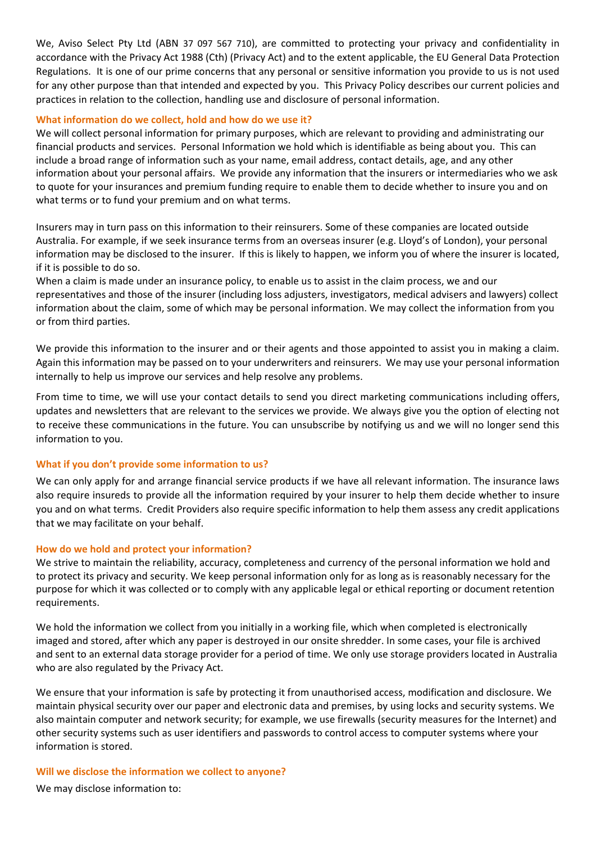We, Aviso Select Pty Ltd (ABN 37 097 567 710), are committed to protecting your privacy and confidentiality in accordance with the Privacy Act 1988 (Cth) (Privacy Act) and to the extent applicable, the EU General Data Protection Regulations. It is one of our prime concerns that any personal or sensitive information you provide to us is not used for any other purpose than that intended and expected by you. This Privacy Policy describes our current policies and practices in relation to the collection, handling use and disclosure of personal information.

# **What information do we collect, hold and how do we use it?**

We will collect personal information for primary purposes, which are relevant to providing and administrating our financial products and services. Personal Information we hold which is identifiable as being about you. This can include a broad range of information such as your name, email address, contact details, age, and any other information about your personal affairs. We provide any information that the insurers or intermediaries who we ask to quote for your insurances and premium funding require to enable them to decide whether to insure you and on what terms or to fund your premium and on what terms.

Insurers may in turn pass on this information to their reinsurers. Some of these companies are located outside Australia. For example, if we seek insurance terms from an overseas insurer (e.g. Lloyd's of London), your personal information may be disclosed to the insurer. If this is likely to happen, we inform you of where the insurer is located, if it is possible to do so.

When a claim is made under an insurance policy, to enable us to assist in the claim process, we and our representatives and those of the insurer (including loss adjusters, investigators, medical advisers and lawyers) collect information about the claim, some of which may be personal information. We may collect the information from you or from third parties.

We provide this information to the insurer and or their agents and those appointed to assist you in making a claim. Again this information may be passed on to your underwriters and reinsurers. We may use your personal information internally to help us improve our services and help resolve any problems.

From time to time, we will use your contact details to send you direct marketing communications including offers, updates and newsletters that are relevant to the services we provide. We always give you the option of electing not to receive these communications in the future. You can unsubscribe by notifying us and we will no longer send this information to you.

#### **What if you don't provide some information to us?**

We can only apply for and arrange financial service products if we have all relevant information. The insurance laws also require insureds to provide all the information required by your insurer to help them decide whether to insure you and on what terms. Credit Providers also require specific information to help them assess any credit applications that we may facilitate on your behalf.

#### **How do we hold and protect your information?**

We strive to maintain the reliability, accuracy, completeness and currency of the personal information we hold and to protect its privacy and security. We keep personal information only for as long as is reasonably necessary for the purpose for which it was collected or to comply with any applicable legal or ethical reporting or document retention requirements.

We hold the information we collect from you initially in a working file, which when completed is electronically imaged and stored, after which any paper is destroyed in our onsite shredder. In some cases, your file is archived and sent to an external data storage provider for a period of time. We only use storage providers located in Australia who are also regulated by the Privacy Act.

We ensure that your information is safe by protecting it from unauthorised access, modification and disclosure. We maintain physical security over our paper and electronic data and premises, by using locks and security systems. We also maintain computer and network security; for example, we use firewalls (security measures for the Internet) and other security systems such as user identifiers and passwords to control access to computer systems where your information is stored.

#### **Will we disclose the information we collect to anyone?**

We may disclose information to: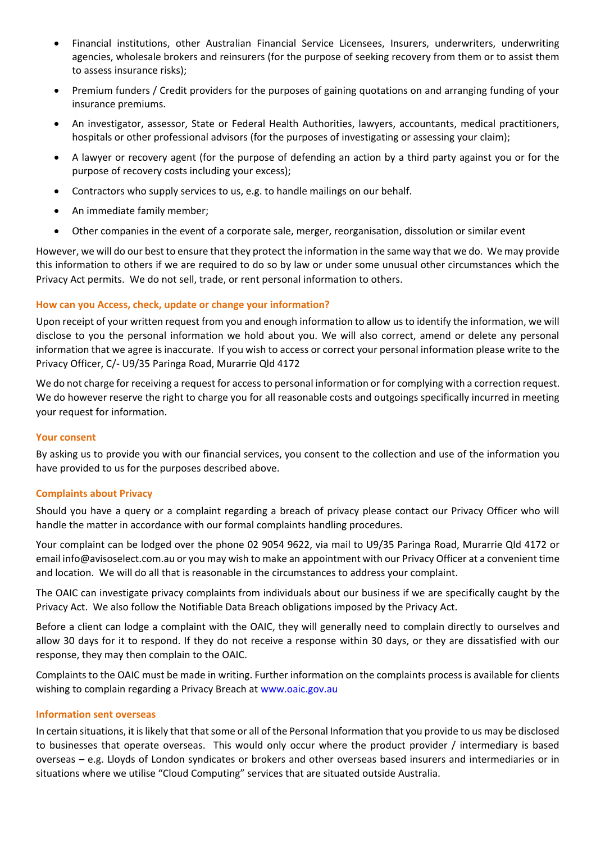- Financial institutions, other Australian Financial Service Licensees, Insurers, underwriters, underwriting agencies, wholesale brokers and reinsurers (for the purpose of seeking recovery from them or to assist them to assess insurance risks);
- Premium funders / Credit providers for the purposes of gaining quotations on and arranging funding of your insurance premiums.
- An investigator, assessor, State or Federal Health Authorities, lawyers, accountants, medical practitioners, hospitals or other professional advisors (for the purposes of investigating or assessing your claim);
- A lawyer or recovery agent (for the purpose of defending an action by a third party against you or for the purpose of recovery costs including your excess);
- Contractors who supply services to us, e.g. to handle mailings on our behalf.
- An immediate family member;
- Other companies in the event of a corporate sale, merger, reorganisation, dissolution or similar event

However, we will do our best to ensure that they protect the information in the same way that we do. We may provide this information to others if we are required to do so by law or under some unusual other circumstances which the Privacy Act permits. We do not sell, trade, or rent personal information to others.

# **How can you Access, check, update or change your information?**

Upon receipt of your written request from you and enough information to allow us to identify the information, we will disclose to you the personal information we hold about you. We will also correct, amend or delete any personal information that we agree is inaccurate. If you wish to access or correct your personal information please write to the Privacy Officer, C/- U9/35 Paringa Road, Murarrie Qld 4172

We do not charge for receiving a request for access to personal information or for complying with a correction request. We do however reserve the right to charge you for all reasonable costs and outgoings specifically incurred in meeting your request for information.

# **Your consent**

By asking us to provide you with our financial services, you consent to the collection and use of the information you have provided to us for the purposes described above.

# **Complaints about Privacy**

Should you have a query or a complaint regarding a breach of privacy please contact our Privacy Officer who will handle the matter in accordance with our formal complaints handling procedures.

Your complaint can be lodged over the phone 02 [9054 9622,](tel:07%203630%201823) via mail to U9/35 Paringa Road, Murarrie Qld 4172 or email info@avisoselect.com.au or you may wish to make an appointment with our Privacy Officer at a convenient time and location. We will do all that is reasonable in the circumstances to address your complaint.

The OAIC can investigate privacy complaints from individuals about our business if we are specifically caught by the [Privacy Act.](http://www.comlaw.gov.au/Series/C2004A03712) We also follow the Notifiable Data Breach obligations imposed by the Privacy Act.

Before a client can lodge a complaint with the OAIC, they will generally need to complain directly to ourselves and allow 30 days for it to respond. If they do not receive a response within 30 days, or they are dissatisfied with our response, they may then complain to the OAIC.

Complaints to the OAIC must be made in writing. Further information on the complaints process is available for clients wishing to complain regarding a Privacy Breach at [www.oaic.gov.au](http://www.oaic.gov.au/)

# **Information sent overseas**

In certain situations, it is likely that that some or all of the Personal Information that you provide to us may be disclosed to businesses that operate overseas. This would only occur where the product provider / intermediary is based overseas – e.g. Lloyds of London syndicates or brokers and other overseas based insurers and intermediaries or in situations where we utilise "Cloud Computing" services that are situated outside Australia.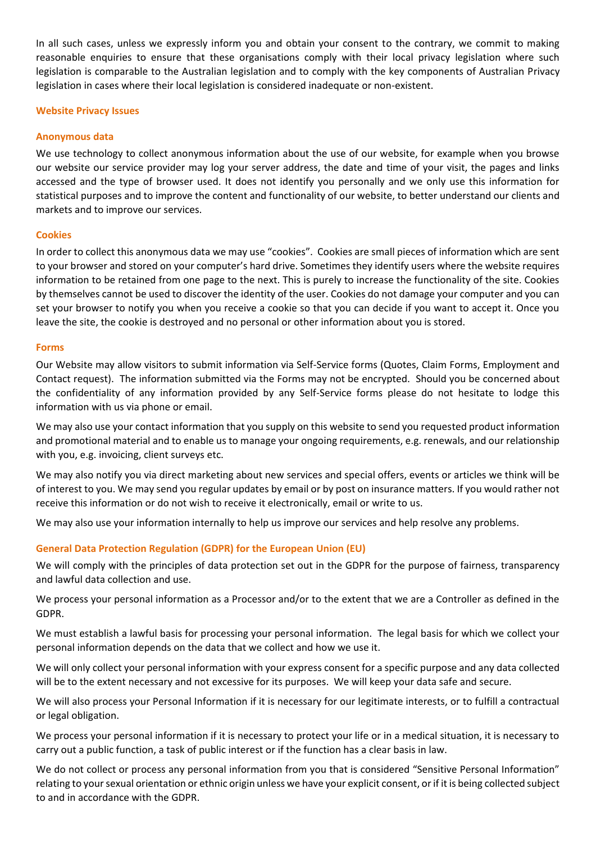In all such cases, unless we expressly inform you and obtain your consent to the contrary, we commit to making reasonable enquiries to ensure that these organisations comply with their local privacy legislation where such legislation is comparable to the Australian legislation and to comply with the key components of Australian Privacy legislation in cases where their local legislation is considered inadequate or non-existent.

# **Website Privacy Issues**

# **Anonymous data**

We use technology to collect anonymous information about the use of our website, for example when you browse our website our service provider may log your server address, the date and time of your visit, the pages and links accessed and the type of browser used. It does not identify you personally and we only use this information for statistical purposes and to improve the content and functionality of our website, to better understand our clients and markets and to improve our services.

## **Cookies**

In order to collect this anonymous data we may use "cookies". Cookies are small pieces of information which are sent to your browser and stored on your computer's hard drive. Sometimes they identify users where the website requires information to be retained from one page to the next. This is purely to increase the functionality of the site. Cookies by themselves cannot be used to discover the identity of the user. Cookies do not damage your computer and you can set your browser to notify you when you receive a cookie so that you can decide if you want to accept it. Once you leave the site, the cookie is destroyed and no personal or other information about you is stored.

## **Forms**

Our Website may allow visitors to submit information via Self-Service forms (Quotes, Claim Forms, Employment and Contact request). The information submitted via the Forms may not be encrypted. Should you be concerned about the confidentiality of any information provided by any Self-Service forms please do not hesitate to lodge this information with us via phone or email.

We may also use your contact information that you supply on this website to send you requested product information and promotional material and to enable us to manage your ongoing requirements, e.g. renewals, and our relationship with you, e.g. invoicing, client surveys etc.

We may also notify you via direct marketing about new services and special offers, events or articles we think will be of interest to you. We may send you regular updates by email or by post on insurance matters. If you would rather not receive this information or do not wish to receive it electronically, email or write to us.

We may also use your information internally to help us improve our services and help resolve any problems.

# **General Data Protection Regulation (GDPR) for the European Union (EU)**

We will comply with the principles of data protection set out in the GDPR for the purpose of fairness, transparency and lawful data collection and use.

We process your personal information as a Processor and/or to the extent that we are a Controller as defined in the GDPR.

We must establish a lawful basis for processing your personal information. The legal basis for which we collect your personal information depends on the data that we collect and how we use it.

We will only collect your personal information with your express consent for a specific purpose and any data collected will be to the extent necessary and not excessive for its purposes. We will keep your data safe and secure.

We will also process your Personal Information if it is necessary for our legitimate interests, or to fulfill a contractual or legal obligation.

We process your personal information if it is necessary to protect your life or in a medical situation, it is necessary to carry out a public function, a task of public interest or if the function has a clear basis in law.

We do not collect or process any personal information from you that is considered "Sensitive Personal Information" relating to your sexual orientation or ethnic origin unless we have your explicit consent, or if it is being collected subject to and in accordance with the GDPR.